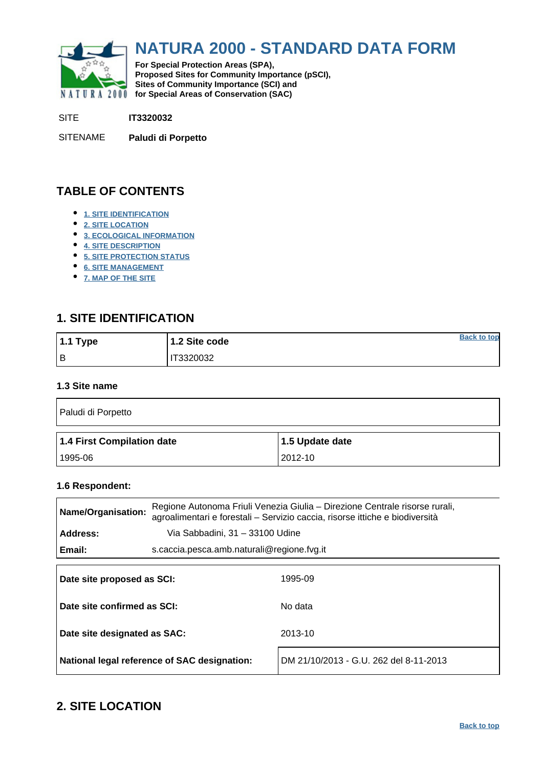<span id="page-0-0"></span>

# **NATURA 2000 - STANDARD DATA FORM**

**For Special Protection Areas (SPA), Proposed Sites for Community Importance (pSCI), Sites of Community Importance (SCI) and NATURA 2000 for Special Areas of Conservation (SAC)** 

SITE **IT3320032**

SITENAME **Paludi di Porpetto**

# **TABLE OF CONTENTS**

- **[1. SITE IDENTIFICATION](#page-0-1)**
- **[2. SITE LOCATION](#page-0-2)**
- **[3. ECOLOGICAL INFORMATION](#page-1-0)**
- **[4. SITE DESCRIPTION](#page-4-0)**
- **[5. SITE PROTECTION STATUS](#page-6-0)**
- **[6. SITE MANAGEMENT](#page-6-1)**
- **[7. MAP OF THE SITE](#page-6-2)**

# <span id="page-0-1"></span>**1. SITE IDENTIFICATION**

| $1.1$ Type | 1.2 Site code | <b>Back to top</b> |
|------------|---------------|--------------------|
| Iв         | T3320032      |                    |

#### **1.3 Site name**

| Paludi di Porpetto         |                 |  |  |  |  |  |
|----------------------------|-----------------|--|--|--|--|--|
|                            |                 |  |  |  |  |  |
| 1.4 First Compilation date | 1.5 Update date |  |  |  |  |  |

#### **1.6 Respondent:**

| Name/Organisation:           |                                            | Regione Autonoma Friuli Venezia Giulia – Direzione Centrale risorse rurali,<br>agroalimentari e forestali - Servizio caccia, risorse ittiche e biodiversità |  |  |  |  |
|------------------------------|--------------------------------------------|-------------------------------------------------------------------------------------------------------------------------------------------------------------|--|--|--|--|
| Address:                     | Via Sabbadini, 31 - 33100 Udine            |                                                                                                                                                             |  |  |  |  |
| Email:                       | s.caccia.pesca.amb.naturali@regione.fvg.it |                                                                                                                                                             |  |  |  |  |
| Date site proposed as SCI:   |                                            | 1995-09                                                                                                                                                     |  |  |  |  |
| Date site confirmed as SCI:  |                                            | No data                                                                                                                                                     |  |  |  |  |
| Date site designated as SAC: |                                            | 2013-10                                                                                                                                                     |  |  |  |  |

**National legal reference of SAC designation:** DM 21/10/2013 - G.U. 262 del 8-11-2013

# <span id="page-0-2"></span>**2. SITE LOCATION**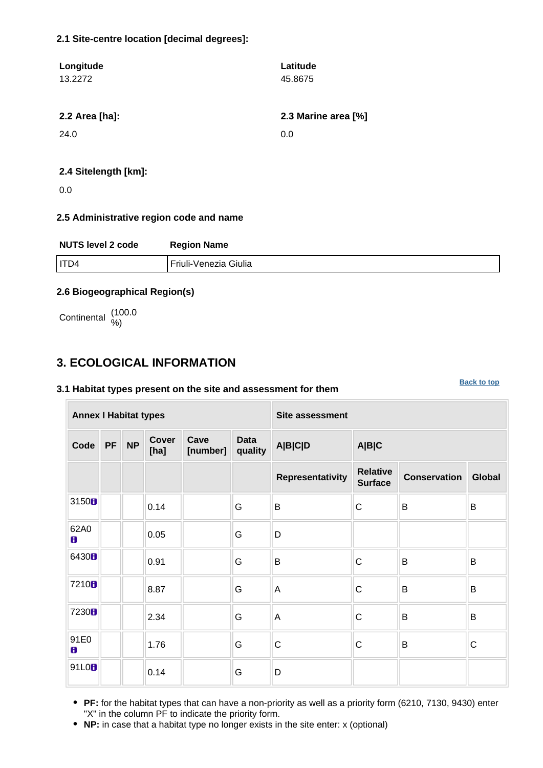### **2.1 Site-centre location [decimal degrees]:**

| Longitude<br>13.2272 | Latitude<br>45.8675 |
|----------------------|---------------------|
| 2.2 Area [ha]:       | 2.3 Marine area [%] |
| 24.0                 | 0.0                 |
|                      |                     |

#### **2.4 Sitelength [km]:**

0.0

### **2.5 Administrative region code and name**

| <b>NUTS level 2 code</b> | <b>Region Name</b>    |
|--------------------------|-----------------------|
| ITD4                     | Friuli-Venezia Giulia |

### **2.6 Biogeographical Region(s)**

Continental (100.0

# <span id="page-1-0"></span>**3. ECOLOGICAL INFORMATION**

#### **3.1 Habitat types present on the site and assessment for them**

**Annex I Habitat types Site assessment Code PF NP Cover [ha] Cave [number] Data quality A|B|C|D A|B|C Representativity Relative Surface Conservation Global** 3150 **b**  $\begin{array}{|c|c|c|c|c|c|}\n\hline\n\text{.} & \text{.} & \text{.} & \text{.} & \text{.} & \text{.} & \text{.} & \text{.} & \text{.} & \text{.} & \text{.} & \text{.} & \text{.} & \text{.} & \text{.} & \text{.} & \text{.} & \text{.} & \text{.} & \text{.} & \text{.} & \text{.} & \text{.} & \text{.} & \text{.} & \text{.} & \text{.} & \text{.} & \text{.} & \text{.} & \text{.} & \$ 62A0 0.05 G D 6430 **b** 0.91 G B C B B B 7210 **B**  $\begin{array}{|c|c|c|c|c|c|}\n\hline\n8.87 & & \text{G} & \text{A} & \text{C} & \text{B} & \text{B} \\
\hline\n\end{array}$ <sup>7230</sup> 2.34 G A C B B 91E0 1.76 G C C B C 91L0 **d**  $\begin{array}{|c|c|c|c|}\n\hline\n0.14 & \multicolumn{1}{|c|}{}\n\hline\n\end{array}$  G  $\begin{array}{|c|c|c|c|}\n\hline\n\end{array}$ 

**PF:** for the habitat types that can have a non-priority as well as a priority form (6210, 7130, 9430) enter "X" in the column PF to indicate the priority form.

**NP:** in case that a habitat type no longer exists in the site enter: x (optional)

#### **[Back to top](#page-0-0)**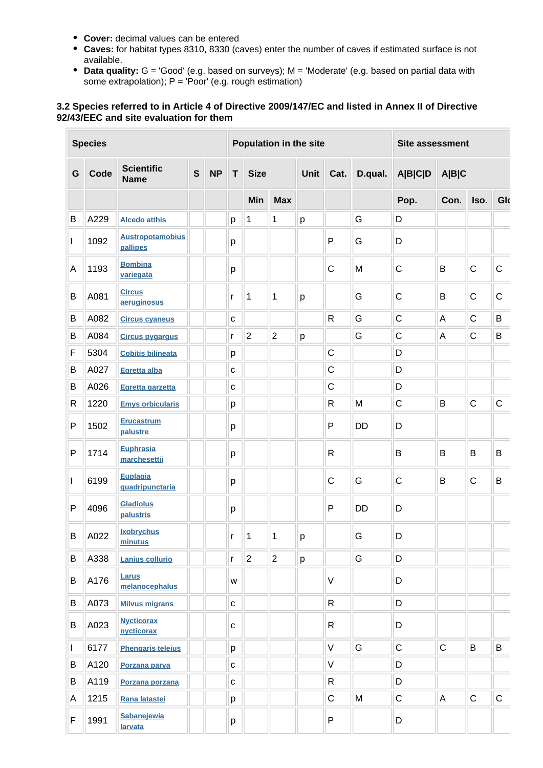- **Cover:** decimal values can be entered
- **Caves:** for habitat types 8310, 8330 (caves) enter the number of caves if estimated surface is not available.
- Data quality: G = 'Good' (e.g. based on surveys); M = 'Moderate' (e.g. based on partial data with some extrapolation); P = 'Poor' (e.g. rough estimation)

### **3.2 Species referred to in Article 4 of Directive 2009/147/EC and listed in Annex II of Directive 92/43/EEC and site evaluation for them**

| <b>Species</b> |      |                                     |              | Population in the site |              |                |                | Site assessment                |              |           |                         |             |             |             |
|----------------|------|-------------------------------------|--------------|------------------------|--------------|----------------|----------------|--------------------------------|--------------|-----------|-------------------------|-------------|-------------|-------------|
| G              | Code | <b>Scientific</b><br><b>Name</b>    | $\mathbf{s}$ | <b>NP</b>              | T            | <b>Size</b>    |                | D.qual.<br><b>Unit</b><br>Cat. |              |           | <b>A B C D</b><br>A B C |             |             |             |
|                |      |                                     |              |                        |              | Min            | <b>Max</b>     |                                |              |           | Pop.                    | Con.        | Iso.        | Glo         |
| B              | A229 | <b>Alcedo atthis</b>                |              |                        | p            | 1              | $\mathbf{1}$   | р                              |              | G         | D                       |             |             |             |
| L              | 1092 | <b>Austropotamobius</b><br>pallipes |              |                        | р            |                |                |                                | P            | G         | D                       |             |             |             |
| A              | 1193 | <b>Bombina</b><br>variegata         |              |                        | p            |                |                |                                | $\mathsf C$  | M         | $\mathsf C$             | B           | $\mathsf C$ | $\mathsf C$ |
| B              | A081 | <b>Circus</b><br>aeruginosus        |              |                        | r            | 1              | 1              | p                              |              | G         | C                       | B           | $\mathsf C$ | $\mathsf C$ |
| B              | A082 | <b>Circus cyaneus</b>               |              |                        | $\mathbf C$  |                |                |                                | $\mathsf{R}$ | G         | $\mathsf C$             | A           | $\mathsf C$ | B           |
| B              | A084 | <b>Circus pygargus</b>              |              |                        | r            | $\overline{2}$ | $\overline{2}$ | p                              |              | G         | $\mathsf C$             | A           | $\mathsf C$ | B           |
| F              | 5304 | <b>Cobitis bilineata</b>            |              |                        | р            |                |                |                                | $\mathsf{C}$ |           | D                       |             |             |             |
| B              | A027 | Egretta alba                        |              |                        | C            |                |                |                                | $\mathsf{C}$ |           | D                       |             |             |             |
| В              | A026 | Egretta garzetta                    |              |                        | C            |                |                |                                | $\mathsf C$  |           | D                       |             |             |             |
| R              | 1220 | <b>Emys orbicularis</b>             |              |                        | р            |                |                |                                | R            | M         | $\mathsf C$             | B           | $\mathsf C$ | $\mathsf C$ |
| P              | 1502 | <b>Erucastrum</b><br>palustre       |              |                        | р            |                |                |                                | P            | <b>DD</b> | D                       |             |             |             |
| P              | 1714 | Euphrasia<br>marchesettii           |              |                        | р            |                |                |                                | $\mathsf R$  |           | B                       | B           | B           | B           |
| L              | 6199 | Euplagia<br>quadripunctaria         |              |                        | р            |                |                |                                | $\mathsf{C}$ | G         | $\mathsf C$             | B           | $\mathsf C$ | B           |
| P              | 4096 | <b>Gladiolus</b><br>palustris       |              |                        | р            |                |                |                                | P            | <b>DD</b> | D                       |             |             |             |
| B              | A022 | <b>Ixobrychus</b><br>minutus        |              |                        | $\mathsf{r}$ | 1              | 1              | р                              |              | G         | D                       |             |             |             |
| B              | A338 | Lanius collurio                     |              |                        | r            | $\overline{2}$ | $\overline{2}$ | p                              |              | G         | D                       |             |             |             |
| B              | A176 | Larus<br>melanocephalus             |              |                        | W            |                |                |                                | $\vee$       |           | D                       |             |             |             |
| В              | A073 | <b>Milvus migrans</b>               |              |                        | $\mathbf{C}$ |                |                |                                | R            |           | D                       |             |             |             |
| B              | A023 | <b>Nycticorax</b><br>nycticorax     |              |                        | C            |                |                |                                | R            |           | D                       |             |             |             |
| $\mathbf{I}$   | 6177 | <b>Phengaris teleius</b>            |              |                        | p            |                |                |                                | $\vee$       | G         | $\mathsf C$             | $\mathsf C$ | B           | B           |
| В              | A120 | Porzana parva                       |              |                        | $\mathbf{C}$ |                |                |                                | $\vee$       |           | D                       |             |             |             |
| B              | A119 | Porzana porzana                     |              |                        | $\mathbf{C}$ |                |                |                                | $\mathsf{R}$ |           | D                       |             |             |             |
| Α              | 1215 | Rana latastei                       |              |                        | p            |                |                |                                | $\mathsf C$  | ${\sf M}$ | $\mathsf C$             | A           | $\mathsf C$ | $\mathsf C$ |
| F              | 1991 | Sabanejewia<br>larvata              |              |                        | р            |                |                |                                | ${\sf P}$    |           | D                       |             |             |             |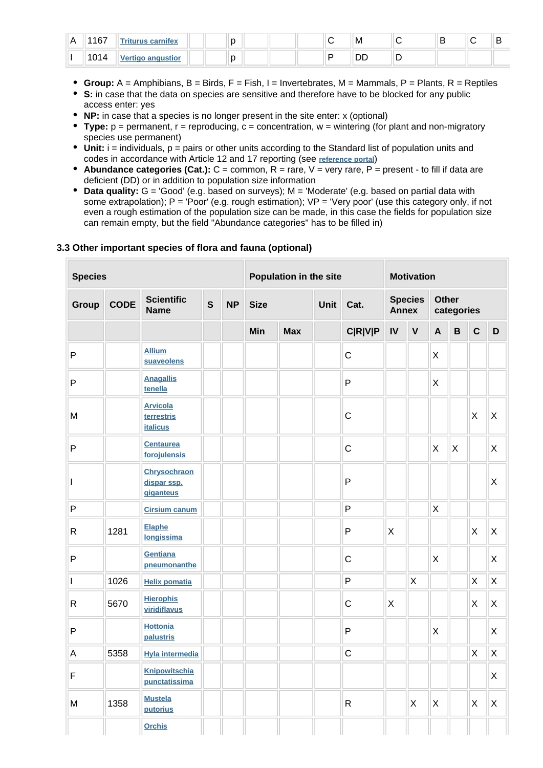| 1167<br>1 V L  | cornifor | $\sim$<br>∼ |  |  | M       | - |  |
|----------------|----------|-------------|--|--|---------|---|--|
| 404<br>I U I ' |          | ×<br>ı.     |  |  | --<br>◡ |   |  |

- **Group:** A = Amphibians, B = Birds, F = Fish, I = Invertebrates, M = Mammals, P = Plants, R = Reptiles
- **S:** in case that the data on species are sensitive and therefore have to be blocked for any public access enter: yes
- **NP:** in case that a species is no longer present in the site enter: x (optional)
- **Type:**  $p =$  permanent,  $r =$  reproducing,  $c =$  concentration,  $w =$  wintering (for plant and non-migratory species use permanent)
- $\bullet$  Unit: i = individuals,  $p =$  pairs or other units according to the Standard list of population units and codes in accordance with Article 12 and 17 reporting (see **[reference portal](http://bd.eionet.europa.eu/activities/Natura_2000/reference_portal)**)
- **Abundance categories (Cat.):** C = common, R = rare, V = very rare, P = present to fill if data are deficient (DD) or in addition to population size information
- $\bullet$ **Data quality:** G = 'Good' (e.g. based on surveys); M = 'Moderate' (e.g. based on partial data with some extrapolation);  $P = Popor'$  (e.g. rough estimation);  $VP = Very$  poor' (use this category only, if not even a rough estimation of the population size can be made, in this case the fields for population size can remain empty, but the field "Abundance categories" has to be filled in)

#### **3.3 Other important species of flora and fauna (optional)**

| <b>Species</b>           |             |                                                  |              |           |             | Population in the site |  |                |              | <b>Motivation</b> |              |                |              |         |
|--------------------------|-------------|--------------------------------------------------|--------------|-----------|-------------|------------------------|--|----------------|--------------|-------------------|--------------|----------------|--------------|---------|
| Group                    | <b>CODE</b> | <b>Scientific</b><br><b>Name</b>                 | $\mathbf{s}$ | <b>NP</b> | <b>Size</b> | Unit<br>Cat.           |  |                | <b>Annex</b> | <b>Species</b>    | <b>Other</b> | categories     |              |         |
|                          |             |                                                  |              |           | Min         | <b>Max</b>             |  | <b>C R V P</b> | IV           | $\mathsf{V}$      | $\mathsf{A}$ | $\overline{B}$ | $\mathbf{C}$ | D       |
| $\mathsf{P}$             |             | <b>Allium</b><br>suaveolens                      |              |           |             |                        |  | $\mathsf{C}$   |              |                   | X            |                |              |         |
| $\mathsf{P}$             |             | <b>Anagallis</b><br>tenella                      |              |           |             |                        |  | $\mathsf{P}$   |              |                   | X            |                |              |         |
| M                        |             | <b>Arvicola</b><br>terrestris<br><b>italicus</b> |              |           |             |                        |  | $\mathsf C$    |              |                   |              |                | X            | X       |
| $\mathsf{P}$             |             | <b>Centaurea</b><br>forojulensis                 |              |           |             |                        |  | $\mathsf{C}$   |              |                   | X            | X              |              | X       |
| $\overline{\phantom{a}}$ |             | <b>Chrysochraon</b><br>dispar ssp.<br>giganteus  |              |           |             |                        |  | P              |              |                   |              |                |              | X       |
| $\sf P$                  |             | <b>Cirsium canum</b>                             |              |           |             |                        |  | $\mathsf{P}$   |              |                   | X            |                |              |         |
| ${\sf R}$                | 1281        | <b>Elaphe</b><br>longissima                      |              |           |             |                        |  | P              | X            |                   |              |                | X            | X       |
| $\mathsf{P}$             |             | Gentiana<br>pneumonanthe                         |              |           |             |                        |  | $\mathsf{C}$   |              |                   | X            |                |              | X       |
| $\mathsf{I}$             | 1026        | <b>Helix pomatia</b>                             |              |           |             |                        |  | $\overline{P}$ |              | $\mathsf X$       |              |                | X            | $\sf X$ |
| ${\sf R}$                | 5670        | <b>Hierophis</b><br>viridiflavus                 |              |           |             |                        |  | $\mathsf{C}$   | X            |                   |              |                | X            | $\sf X$ |
| $\mathsf{P}$             |             | <b>Hottonia</b><br>palustris                     |              |           |             |                        |  | $\mathsf{P}$   |              |                   | X            |                |              | X       |
| $\overline{A}$           | 5358        | <b>Hyla intermedia</b>                           |              |           |             |                        |  | $\mathsf{C}$   |              |                   |              |                | X            | $\sf X$ |
| $\mathsf F$              |             | <b>Knipowitschia</b><br>punctatissima            |              |           |             |                        |  |                |              |                   |              |                |              | X       |
| M                        | 1358        | <b>Mustela</b><br>putorius                       |              |           |             |                        |  | $\mathsf{R}$   |              | X                 | X            |                | X            | X       |
|                          |             | <b>Orchis</b>                                    |              |           |             |                        |  |                |              |                   |              |                |              |         |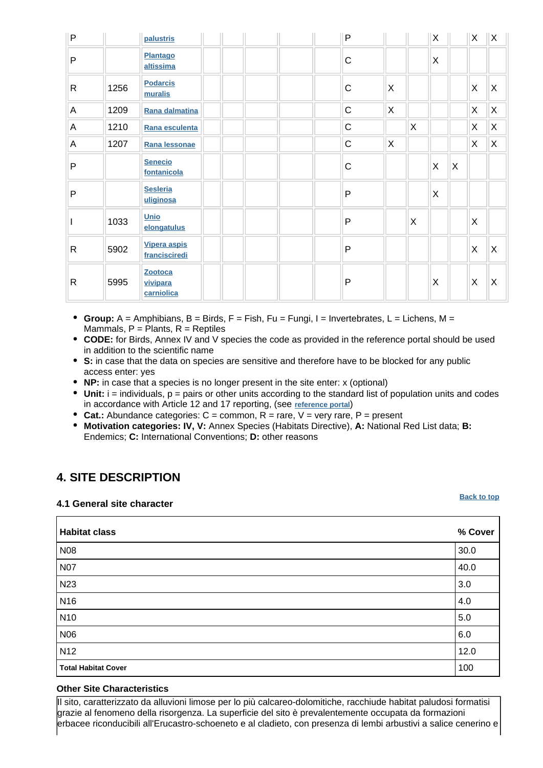| $\mathsf{P}$ |      | palustris                         |  |  | $\mathsf{P}$ |   |                         | X |              | $\mathsf{X}$ | $\mathsf{X}$ |
|--------------|------|-----------------------------------|--|--|--------------|---|-------------------------|---|--------------|--------------|--------------|
| $\mathsf{P}$ |      | Plantago<br>altissima             |  |  | $\mathsf C$  |   |                         | X |              |              |              |
| $\mathsf{R}$ | 1256 | <b>Podarcis</b><br>muralis        |  |  | $\mathsf{C}$ | X |                         |   |              | X            | $\mathsf{X}$ |
| A            | 1209 | Rana dalmatina                    |  |  | $\mathsf C$  | X |                         |   |              | X            | X            |
| A            | 1210 | Rana esculenta                    |  |  | $\mathsf C$  |   | $\mathsf{X}$            |   |              | X            | X            |
| A            | 1207 | Rana lessonae                     |  |  | $\mathsf C$  | X |                         |   |              | X            | X            |
| $\mathsf{P}$ |      | <b>Senecio</b><br>fontanicola     |  |  | $\mathsf{C}$ |   |                         | X | $\mathsf{X}$ |              |              |
| $\mathsf{P}$ |      | <b>Sesleria</b><br>uliginosa      |  |  | $\mathsf{P}$ |   |                         | X |              |              |              |
|              | 1033 | Unio<br>elongatulus               |  |  | $\mathsf{P}$ |   | $\overline{\mathsf{x}}$ |   |              | X            |              |
| $\mathsf{R}$ | 5902 | Vipera aspis<br>francisciredi     |  |  | $\mathsf{P}$ |   |                         |   |              | X            | $\times$     |
| $\mathsf{R}$ | 5995 | Zootoca<br>vivipara<br>carniolica |  |  | $\mathsf{P}$ |   |                         | X |              | X            | X            |

- **Group:** A = Amphibians, B = Birds, F = Fish, Fu = Fungi, I = Invertebrates, L = Lichens, M = Mammals,  $P =$  Plants,  $R =$  Reptiles
- **CODE:** for Birds, Annex IV and V species the code as provided in the reference portal should be used in addition to the scientific name
- **S:** in case that the data on species are sensitive and therefore have to be blocked for any public access enter: yes
- **NP:** in case that a species is no longer present in the site enter: x (optional)
- **Unit:** i = individuals, p = pairs or other units according to the standard list of population units and codes in accordance with Article 12 and 17 reporting, (see **[reference portal](http://bd.eionet.europa.eu/activities/Natura_2000/reference_portal)**)
- **Cat.:** Abundance categories:  $C =$  common,  $R =$  rare,  $V =$  very rare,  $P =$  present
- **Motivation categories: IV, V:** Annex Species (Habitats Directive), **A:** National Red List data; **B:** Endemics; **C:** International Conventions; **D:** other reasons

# <span id="page-4-0"></span>**4. SITE DESCRIPTION**

#### **4.1 General site character**

**[Back to top](#page-0-0)**

| <b>Habitat class</b>       | % Cover |
|----------------------------|---------|
| N08                        | 30.0    |
| <b>N07</b>                 | 40.0    |
| N23                        | 3.0     |
| N <sub>16</sub>            | 4.0     |
| N <sub>10</sub>            | $5.0\,$ |
| <b>N06</b>                 | 6.0     |
| N <sub>12</sub>            | 12.0    |
| <b>Total Habitat Cover</b> | 100     |

#### **Other Site Characteristics**

Il sito, caratterizzato da alluvioni limose per lo più calcareo-dolomitiche, racchiude habitat paludosi formatisi grazie al fenomeno della risorgenza. La superficie del sito è prevalentemente occupata da formazioni erbacee riconducibili all'Erucastro-schoeneto e al cladieto, con presenza di lembi arbustivi a salice cenerino e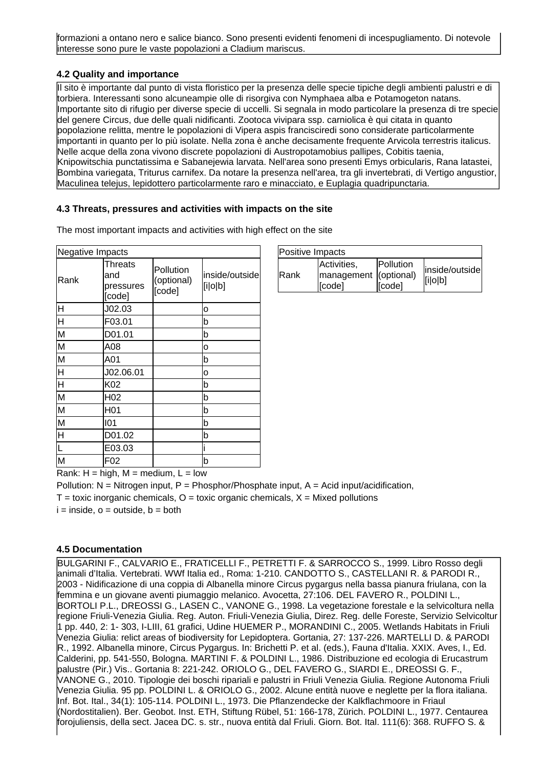formazioni a ontano nero e salice bianco. Sono presenti evidenti fenomeni di incespugliamento. Di notevole interesse sono pure le vaste popolazioni a Cladium mariscus.

### **4.2 Quality and importance**

Il sito è importante dal punto di vista floristico per la presenza delle specie tipiche degli ambienti palustri e di torbiera. Interessanti sono alcuneampie olle di risorgiva con Nymphaea alba e Potamogeton natans. Importante sito di rifugio per diverse specie di uccelli. Si segnala in modo particolare la presenza di tre specie del genere Circus, due delle quali nidificanti. Zootoca vivipara ssp. carniolica è qui citata in quanto popolazione relitta, mentre le popolazioni di Vipera aspis francisciredi sono considerate particolarmente importanti in quanto per lo più isolate. Nella zona è anche decisamente frequente Arvicola terrestris italicus. Nelle acque della zona vivono discrete popolazioni di Austropotamobius pallipes, Cobitis taenia, Knipowitschia punctatissima e Sabanejewia larvata. Nell'area sono presenti Emys orbicularis, Rana latastei, Bombina variegata, Triturus carnifex. Da notare la presenza nell'area, tra gli invertebrati, di Vertigo angustior, Maculinea telejus, lepidottero particolarmente raro e minacciato, e Euplagia quadripunctaria.

### **4.3 Threats, pressures and activities with impacts on the site**

The most important impacts and activities with high effect on the site

| Negative Impacts   |                                       |                                   |                           |  |  |  |  |  |
|--------------------|---------------------------------------|-----------------------------------|---------------------------|--|--|--|--|--|
| Rank               | Threats<br>and<br>pressures<br>[code] | Pollution<br>(optional)<br>[code] | inside/outside<br>[i o b] |  |  |  |  |  |
| lн                 | J02.03                                |                                   | 0                         |  |  |  |  |  |
| 叵                  | F03.01                                |                                   | b                         |  |  |  |  |  |
| M                  | D01.01                                |                                   | b                         |  |  |  |  |  |
| M                  | A08                                   |                                   | 0                         |  |  |  |  |  |
| M                  | A01                                   |                                   | b                         |  |  |  |  |  |
| $\overline{\sf H}$ | J02.06.01                             |                                   | о                         |  |  |  |  |  |
| F                  | K02                                   |                                   | b                         |  |  |  |  |  |
| M                  | H <sub>02</sub>                       |                                   | b                         |  |  |  |  |  |
| M                  | H <sub>01</sub>                       |                                   | b                         |  |  |  |  |  |
| M                  | 101                                   |                                   | b                         |  |  |  |  |  |
| lн                 | D01.02                                |                                   | b                         |  |  |  |  |  |
|                    | E03.03                                |                                   |                           |  |  |  |  |  |
| M                  | F02                                   |                                   | b                         |  |  |  |  |  |

| Positive Impacts |                                                |                             |                           |
|------------------|------------------------------------------------|-----------------------------|---------------------------|
| <b>Rank</b>      | Activities,<br>management (optional)<br>[code] | <b>IPollution</b><br>[code] | inside/outside<br>[i o b] |

Rank:  $H = high$ ,  $M = medium$ ,  $L = low$ 

Pollution:  $N =$  Nitrogen input, P = Phosphor/Phosphate input, A = Acid input/acidification,

 $T =$  toxic inorganic chemicals,  $O =$  toxic organic chemicals,  $X =$  Mixed pollutions

 $i = inside, o = outside, b = both$ 

### **4.5 Documentation**

BULGARINI F., CALVARIO E., FRATICELLI F., PETRETTI F. & SARROCCO S., 1999. Libro Rosso degli animali d'Italia. Vertebrati. WWf Italia ed., Roma: 1-210. CANDOTTO S., CASTELLANI R. & PARODI R., 2003 - Nidificazione di una coppia di Albanella minore Circus pygargus nella bassa pianura friulana, con la femmina e un giovane aventi piumaggio melanico. Avocetta, 27:106.
 DEL FAVERO R., POLDINI L., BORTOLI P.L., DREOSSI G., LASEN C., VANONE G., 1998. La vegetazione forestale e la selvicoltura nella regione Friuli-Venezia Giulia. Reg. Auton. Friuli-Venezia Giulia, Direz. Reg. delle Foreste, Servizio Selvicoltur 1 pp. 440, 2: 1- 303, I-LIII, 61 grafici, Udine HUEMER P., MORANDINI C., 2005. Wetlands Habitats in Friuli Venezia Giulia: relict areas of biodiversity for Lepidoptera. Gortania, 27: 137-226. MARTELLI D. & PARODI R., 1992. Albanella minore, Circus Pygargus. In: Brichetti P. et al. (eds.), Fauna d'Italia. XXIX. Aves, I., Ed. Calderini, pp. 541-550, Bologna.
 MARTINI F. & POLDINI L., 1986. Distribuzione ed ecologia di Erucastrum palustre (Pir.) Vis.. Gortania 8: 221-242.
 ORIOLO G., DEL FAVERO G., SIARDI E., DREOSSI G. F., VANONE G., 2010. Tipologie dei boschi ripariali e palustri in Friuli Venezia Giulia. Regione Autonoma Friuli Venezia Giulia. 95 pp. POLDINI L. & ORIOLO G., 2002. Alcune entità nuove e neglette per la flora italiana. Inf. Bot. Ital., 34(1): 105-114.
 POLDINI L., 1973. Die Pflanzendecke der Kalkflachmoore in Friaul (Nordostitalien). Ber. Geobot. Inst. ETH, Stiftung Rübel, 51: 166-178, Zürich.
 POLDINI L., 1977. Centaurea forojuliensis, della sect. Jacea DC. s. str., nuova entità dal Friuli. Giorn. Bot. Ital. 111(6): 368.
 RUFFO S. &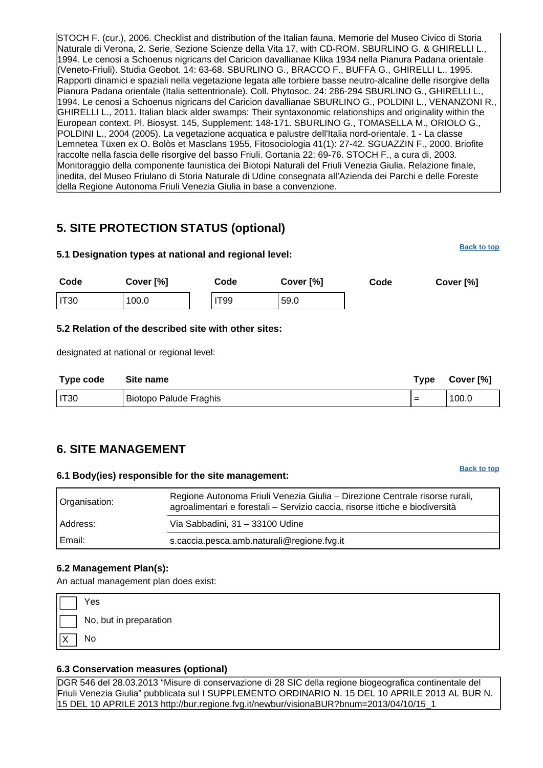STOCH F. (cur.), 2006. Checklist and distribution of the Italian fauna. Memorie del Museo Civico di Storia Naturale di Verona, 2. Serie, Sezione Scienze della Vita 17, with CD-ROM. SBURLINO G. & GHIRELLI L., 1994. Le cenosi a Schoenus nigricans del Caricion davallianae Klika 1934 nella Pianura Padana orientale (Veneto-Friuli). Studia Geobot. 14: 63-68.
 SBURLINO G., BRACCO F., BUFFA G., GHIRELLI L., 1995. Rapporti dinamici e spaziali nella vegetazione legata alle torbiere basse neutro-alcaline delle risorgive della Pianura Padana orientale (Italia settentrionale). Coll. Phytosoc. 24: 286-294 SBURLINO G., GHIRELLI L., 1994. Le cenosi a Schoenus nigricans del Caricion davallianae SBURLINO G., POLDINI L., VENANZONI R., GHIRELLI L., 2011. Italian black alder swamps: Their syntaxonomic relationships and originality within the European context. Pl. Biosyst. 145, Supplement: 148-171. SBURLINO G., TOMASELLA M., ORIOLO G., POLDINI L., 2004 (2005). La vegetazione acquatica e palustre dell'Italia nord-orientale. 1 - La classe Lemnetea Tüxen ex O. Bolòs et Masclans 1955, Fitosociologia 41(1): 27-42. SGUAZZIN F., 2000. Briofite raccolte nella fascia delle risorgive del basso Friuli. Gortania 22: 69-76. STOCH F., a cura di, 2003. Monitoraggio della componente faunistica dei Biotopi Naturali del Friuli Venezia Giulia. Relazione finale, inedita, del Museo Friulano di Storia Naturale di Udine consegnata all'Azienda dei Parchi e delle Foreste della Regione Autonoma Friuli Venezia Giulia in base a convenzione.

# <span id="page-6-0"></span>**5. SITE PROTECTION STATUS (optional)**

| 5.1 Designation types at national and regional level: |                                                      |             |           |      |                                                   |  |  |
|-------------------------------------------------------|------------------------------------------------------|-------------|-----------|------|---------------------------------------------------|--|--|
| Code                                                  | Cover [%]                                            | Code        | Cover [%] | Code | Cover [%]                                         |  |  |
| <b>IT30</b>                                           | 100.0                                                | <b>IT99</b> | 59.0      |      |                                                   |  |  |
|                                                       | 5.2 Relation of the described site with other sites: |             |           |      |                                                   |  |  |
|                                                       | designated at national or regional level:            |             |           |      |                                                   |  |  |
| Tuma aada                                             | $P_{\text{max}}$                                     |             |           |      | $T \cdot \cdots \cdot$<br>$P_{\text{max}}$ $P(1)$ |  |  |

| Type code | Site name              | Type | Cover [%] |
|-----------|------------------------|------|-----------|
| I IT30    | Biotopo Palude Fraghis | $=$  | 100.0     |

# <span id="page-6-1"></span>**6. SITE MANAGEMENT**

### **6.1 Body(ies) responsible for the site management:**

Organisation: Regione Autonoma Friuli Venezia Giulia – Direzione Centrale risorse rurali, agroalimentari e forestali – Servizio caccia, risorse ittiche e biodiversità Address: Via Sabbadini, 31 – 33100 Udine Email: s.caccia.pesca.amb.naturali@regione.fvg.it

# **6.2 Management Plan(s):**

An actual management plan does exist:

| Ι                      | Yes                    |
|------------------------|------------------------|
| $\mathsf{I}\mathsf{I}$ | No, but in preparation |
| $\sqrt{X}$             | No                     |

# **6.3 Conservation measures (optional)**

<span id="page-6-2"></span>DGR 546 del 28.03.2013 "Misure di conservazione di 28 SIC della regione biogeografica continentale del Friuli Venezia Giulia" pubblicata sul I SUPPLEMENTO ORDINARIO N. 15 DEL 10 APRILE 2013 AL BUR N. 15 DEL 10 APRILE 2013 http://bur.regione.fvg.it/newbur/visionaBUR?bnum=2013/04/10/15\_1

**[Back to top](#page-0-0)**

**[Back to top](#page-0-0)**